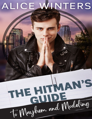## ALICE WINTERS

## THE HITMAN'S To Mayhem and Modeling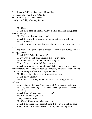The Hitman's Guide to Mayhem and Modeling To be read after The Hitman's Guide 4 Alice Winters (please don't share) Lightly proofed by Courtney Bassett

Me: Cassel.

 $\mathcal{L}_\mathcal{L}$ 

Cassel: He's not here right now. If you'd like to harass him, please leave a message.

Me: This is texting, not a voicemail.

Cassel: Leland… I have some very important news to tell you.

Me: … Which is?

Cassel: This phone number has been disconnected and is no longer in service.

Me: I will come over and take my car back if you don't straighten the fuck up, ya hear?

Cassel: FINE. What do you want?

Henry: Why the hell am I a part of this conversation?

Me: I don't want you to feel left out ever again.

Henry: Please, I don't mind. Leave me out.

Cassel: So what do you want, Leland? Is this just to show off how many weapons you have again because I'm totally not jealous at all looking at all your amazing stuff that I'm not jealous about.

Me: Henry, I think he's clearly jealous of Jackson.

Cassel: I have Jeremy!

Me: I know. That's why I don't blame you for being jealous of Jackson.

Henry: I know what he's NOT jealous of. Your inability to listen.

Me: Anyway, I want to get Jackson an amazing Christmas present, so I need your help.

Cassel: Henry's? You need Henry's help?

Me: Both of you, if you want.

Henry: We don't want.

Me: Cassel, if you want to keep your car.

Cassel: It IS a nice car… dammit. Fine. I'll be over in half an hour.

Henry: Yeah… I'll be there at some point, don't wait up for me.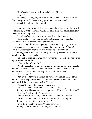Me: Clearly, I need something to hold over Henry. Henry: No.

Me: Okay, so I'm going to make a photo calendar for Jackson for a Christmas present. So I need you guys to make me look good.

Cassel: Even I am not that good.

Henry must be extremely busy with something like saving the world or something… who really knows. It's the only thing that could logistically keep him from being here.

But when Cassel pulls in with Jeremy, I'm quite ecstatic.

"I did not know you were going to be bringing Jere to the Bear," I say, thrilled to have a second vic—participant.

"Yeah, I told him we were getting ice cream then quickly drove here as he screamed 'The ice cream place is in the other direction! Please! Don't!'" Cassel looks oddly proud of himself as he declares this.

Jeremy, on the other hand, looks quite broody. He should leave the brooding to the professionals.

"The better question is what are you wearing?" Cassel asks as he eyes my jeans and button-down.

"Nice clothes, obviously."

"You think Jackson wants a calendar of you in nice clothes?" he asks like the idea disgusts him. "I gotchu covered." He pulls a bag out of the back seat of his car as I wonder why I didn't call him sooner.

"I'm listening."

"Jeremy's better with a camera, so we'll leave him in charge of the photos," Cassel explains as he heads into the house where he pulls out a maid outfit I'd made him wear as Mr. Cleanyface.

"Where'd you get that from?" Jeremy asks.

"Leland made me wear it and service him," Cassel says.

Jeremy turns his accusatory eyes upon me. "He made you do what?"

"I… I can't talk about it," Cassel says.

"I made him clean," I say. "For money. He got paid. To clean."

"I said to not talk about it!" Cassel cries, like it's hurting him.

Jeremy relaxes at that. "Makes sense."

"Does he clean at your house?" I ask curiously

Jeremy stares at me for a very long time. "He tries."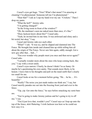Cassel's eyes get huge. "Tries? What's that mean? I'm amazing at cleaning! I'm phenomenal. Someone tell me I'm phenomenal."

"Hear that?" I ask as I cup my hand over my ear. "Crickets." Then I drop my pants.

"What the hell?" Jeremy asks.

"I'm getting changed!"

"In the living room in front of the window?"

"Oh, the mailman's seen me naked more than once, it's fine."

"Does Jackson know about this?" Cassel asks.

"Yeah, he invited him in one time. It was awkward and slimy and a bit weird, but okay," I say.

Cassel and Jeremy side-eye each other.

"What?" I ask. "It was icy, and he slipped and slammed into The Fence. We brought him inside and cleaned him up while telling him all about the origin of The Fence. Never saw him again, oddly enough. Got a new guy after that… huh…"

"You ever wonder why people meet you once and then never again?" Cassel asks.

"I actually wonder more about the ones who keep coming back, like you," I say with a sweet smile.

Cassel's eyes narrow. Clearly, he doesn't think I'm as funny. Or maybe he's questioning his own sanity. That sounds more likely, to be honest. I leave him to his thoughts and pull on the maid outfit that's clearly too small for me.

Cassel looks at me for a moment before going, "He… he he…. It's beautiful."

"Really? The noise you just made makes me think not," I say, but Cassel merrily parades me out into the freezing front yard and over to the fence.

"Yip, yip. Get onto the fence," he says before smacking my semi-bare ass.

"You're going to make Jeremy jealous and he's going to try to off me," I say.

"You'd just love that, wouldn't you?" Cassel says as I hop up onto the top of the fence, skirt fluttering. I wish Jackson was here so he could see how easy it is.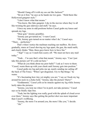"Should I hang off it with my ass out like Jackson?"

"Sit on it first," he says as he hands me two guns. "Hold them like Hollywood gangster style."

"I don't know what that means."

"You know, like fake gangster. Like in the movies where they're all like twisting the gun sideways and stuff," he says.

I force my arms in odd positions before Cassel grabs my knees and spreads my legs.

"Dear god," Jeremy grumbles.

"Jeremy just got turned on," I warn Cassel.

"Oh, Jeremy gets turned on no matter what I do," Cassel says. "There… perfection."

That's when I notice the mailman reaching our mailbox. He slows gradually, stares at Cassel shoving my legs apart, the gun, the maid outfit, and clearly thinks "Man, these guys know how to have fun."

"'Sup!" I say as I watch him scurry off. "We must not have any mail" today."

"Yeah... I'm sure that's what that meant," Jeremy says. "Can I just take this picture yet? It's cold out here."

"What do you think about my poor balls?" I ask as I wave to them. "Cassel, warm them up with your cheek until Jeremy gets into position."

Cassel grabs my leg and jerks me up, nearly sending me sailing off the back of The Fence. "When I get disgusted, I try to flip things," he warns.

"It's fascinating how tiny yet mighty you are," I say as I hook my leg around his neck in a choke hold. "Jeremy, take the picture! Hurry!"

"Goddammit," Cassel yells as he smacks against my leg while Jeremy lazily takes the pictures.

"Jeremy, you *help* me when I'm in peril, not take pictures," Cassel says as he finally slips free.

"Yeah, but the lighting was really good with the splash of cloud cover over there," Jeremy says like getting the perfect shot was more important than Cassel's wellbeing.

"Jeremy, the more I'm around you, the more I like you," I decide. "Ah."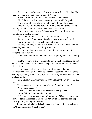"Excuse me, what's that mean? You're supposed to be like 'Oh. My. Gee. I love being around you *too*, Leland!'" I say.

"When did Jeremy turn into Micky Mouse?" Cassel asks.

"That's how I hear his voice constantly in my head," I explain.

"Do you want these pictures to look good?" Jeremy threatens.

"I mean 'Oh. My. Raging Rod. I motherfucking love being around you too, Leland,'" I say in the manliest voice I can muster.

"Now *that* sounds like him," Cassel says. "Alright, flip over, onto your stomach, ass toward me."

"This is how I found Jackson on that fateful night," I say.

"We're aware," Cassel says. "Was he also wearing a maid outfit?"

"Sadly, he was not," I say as I hang on the fence.

"Leland, look sexy. You look like a carcass. Like look back at us or something. Do I have to do everything around here?"

"Just thinking that the memory is going to get less and less fresh brought a tear to my eye."

"How many months are there in a year? Hopefully just one?" Jeremy asks.

"Right? We have at least ten more to go," Cassel grumbles as he grabs my skirt and tears me off the fence. "Go put on a different outfit. Come on, I'll pick it out."

As he forces me to change into a pair of his shorts that look absolutely ridiculous on me, he takes a pair of scissors to one of the shirts he brought, making it into a crop top. Once he's fully satisfied with that, he heads downstairs.

"So… Jeremy… have any run-ins with a mighty lighty sword lately?" I ask.

His eyes narrow. "I have no idea what you're talking about."

"Your boner beacon."

Cassel takes that moment to reappear with a crop in hand.

"You *told* him?" Jeremy asks in shock.

"Of course. He was very proud of my funnies," Cassel says with an adorable beam on his face as he smacks Jeremy on the ass with the crop. "Let's go, my glowing rod of ecstasy."

Jeremy grudgingly heads back outside as Cassel points to Jackson's car. "Stand in front of it, back to us."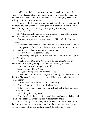And because I clearly don't *run*, he starts smacking me with the crop. Once I'm in place and the abuse stops, he aims me toward the hood, puts the crop in one hand, a gun in another and tries snapping my neck off by making me turn to look at Jeremy.

"Hmm… hold it… hold it… not perfect yet." He grabs a belt loop of the shorts and yanks them hard enough that I'm positive I'll never retrieve them from my crack. "There we go! You getting this, Jeremy?"

"Grudgingly."

That's the moment I hear sirens and glance over as a police cruiser pulls in behind Jackson's car, ruining the shot.

"Drop the weapon and put your hands up," Henry barks through the speaker.

"Henry has finally come!" I announce as I rush over to him. "Daddy!"

Henry gets out of the car and folds his arms over his chest. "We just got an alert that a madman was waving guns around."

"Really? Where, I'll get him," I say.

"He's talking about you. Your mailman must have called the cops on you," Cassel says.

"What a stupid little nark. Aw, Henry, did you come to join my photoshoot? I'll sit on your lap! Jackson will definitely love that."

"No. I came so you don't get arrested."

I gasp and catch Cassel's eyes.

"Are you thinking what I'm thinking?" I ask.

Cassel nods. "I'm not sure what you're thinking, but I know what I'm thinking," he says. "Henry, I need you to cuff Leland and take him to jail for the night."

"No! Pictures of me cuffed!" I say. "Obviously."

"Oh…" Cassel seems less ecstatic about that one.

"I'll pose on the police car," I decide as I look at the flashing lights. "Turn the sirens on."

"That's illegal," Henry says.

"Not if you're looking the other way," I say as Cassel holds his hand out like he expects Henry to plop the cuffs right into them.

I turn to Henry and delicately take his hands into mine. "Henry, from the day I was born, there was only one thing I ever wanted. And that was for you to handcuff me and hold me against the police car," I say.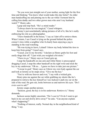"So you were just straight out of your mother, seeing light for the first time and thinking 'You know what would make this day better? An older man handcuffing me and pinning me to the car while I torment him by calling him daddy and two other grown men who aren't my husband watch'?" Henry asks.

I gasp and step back. "He's a mind reader."

"I always knew he was magical," Cassel whispers.

Jeremy's just nonchalantly taking pictures of all of it, like he's really embracing his role as a photographer.

"I have handcuffs in the house," I say as I dart off to retrieve them. When I return, I see Cassel is lying on the ground behind the police cruiser's tires while a neighbor who'd clearly been enjoying a jog is standing in the road watching.

"He was trying to leave, Leland! I threw my body behind the tires to keep him from going!" Cassel says.

"Cassel, you're my favorite," I declare as Henry grabs his foot and easily drags him off. "I just wish you weighed a bit more."

"I have to *go*," Henry says as Cassel gets up.

I snap the handcuffs on one arm and while Henry is preoccupied dragging Cassel, I snap the other handcuff on his right wrist and stick the key in my underwear. "Oh no… I guess we have to take just one picture."

"I swear to god," Henry says as I throw my own body against the car and look at Jeremy as he snaps away. "Give me the key."

"You're with me forever and ever," I say with a wicked grin.

Henry pins me against the car while grabbing my shorts like he's prepared to retrieve the key himself as I see Jackson's park my car on the side of the road. He gets out, looks between us and narrows his eyes. "Do I even *want* to ask?"

Jeremy snaps another picture.

"Jackson, good, the key is in his underwear. Retrieve it," Henry demands.

Jackson seems highly uncertain. "Do I *want* to? Or do I want to get back in my car and slowly drive away?" he asks. "Can anyone explain what's happening?"

"Nothing of interest, really. Normal day in the neighborhood kind of thing," I say.